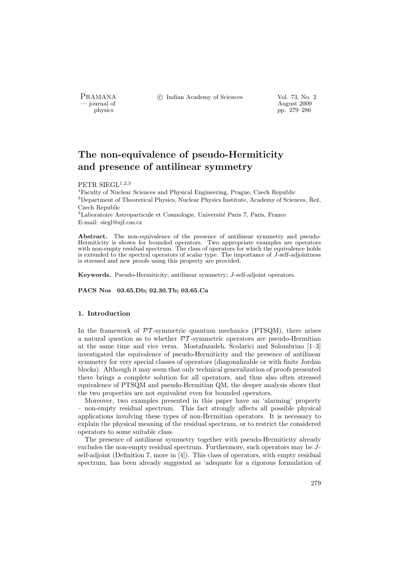PRAMANA <sup>3</sup> © Indian Academy of Sciences Vol. 73, No. 2

position of the contract of the contract of the contract 2009 polytics and the contract of the contract 2009 polytics and the contract of the contract of the contract of the contract of the contract of the contract of the physics pp. 279–286

# The non-equivalence of pseudo-Hermiticity and presence of antilinear symmetry

# PETR SIEGL $^{1,2,3}$

<sup>1</sup>Faculty of Nuclear Sciences and Physical Engineering, Prague, Czech Republic  $2$ Department of Theoretical Physics, Nuclear Physics Institute, Academy of Sciences, Řež, Czech Republic

<sup>3</sup>Laboratoire Astroparticule et Cosmologie, Université Paris 7, Paris, France E-mail: siegl@ujf.cas.cz

Abstract. The non-equivalence of the presence of antilinear symmetry and pseudo-Hermiticity is shown for bounded operators. Two appropriate examples are operators with non-empty residual spectrum. The class of operators for which the equivalence holds is extended to the spectral operators of scalar type. The importance of  $J$ -self-adjointness is stressed and new proofs using this property are provided.

Keywords. Pseudo-Hermiticity; antilinear symmetry; J-self-adjoint operators.

PACS Nos 03.65.Db; 02.30.Tb; 03.65.Ca

### 1. Introduction

In the framework of  $\mathcal{P}T$ -symmetric quantum mechanics (PTSQM), there arises a natural question as to whether  $\mathcal{P}\mathcal{T}$ -symmetric operators are pseudo-Hermitian at the same time and vice versa. Mostafazadeh, Scolarici and Solombrino [1–3] investigated the equivalence of pseudo-Hermiticity and the presence of antilinear symmetry for very special classes of operators (diagonalizable or with finite Jordan blocks). Although it may seem that only technical generalization of proofs presented there brings a complete solution for all operators, and thus also often stressed equivalence of PTSQM and pseudo-Hermitian QM, the deeper analysis shows that the two properties are not equivalent even for bounded operators.

Moreover, two examples presented in this paper have an 'alarming' property – non-empty residual spectrum. This fact strongly affects all possible physical applications involving these types of non-Hermitian operators. It is necessary to explain the physical meaning of the residual spectrum, or to restrict the considered operators to some suitable class.

The presence of antilinear symmetry together with pseudo-Hermiticity already excludes the non-empty residual spectrum. Furthermore, such operators may be Jself-adjoint (Definition 7, more in [4]). This class of operators, with empty residual spectrum, has been already suggested as 'adequate for a rigorous formulation of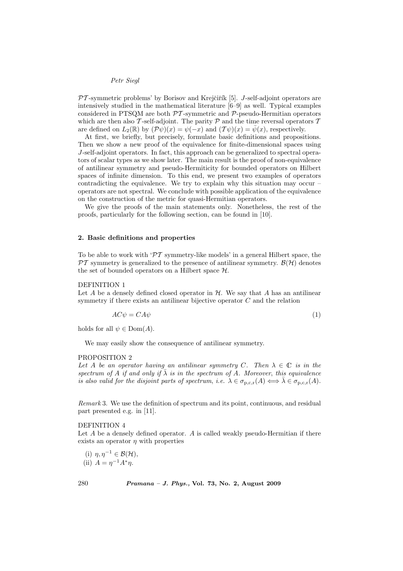$PT$ -symmetric problems' by Borisov and Krejčiřík [5]. J-self-adjoint operators are intensively studied in the mathematical literature [6–9] as well. Typical examples considered in PTSQM are both  $\mathcal{PT}$ -symmetric and  $\mathcal{P}$ -pseudo-Hermitian operators which are then also T-self-adjoint. The parity  $P$  and the time reversal operators  $T$ are defined on  $L_2(\mathbb{R})$  by  $(\mathcal{P}\psi)(x) = \psi(-x)$  and  $(\mathcal{T}\psi)(x) = \bar{\psi}(x)$ , respectively.

At first, we briefly, but precisely, formulate basic definitions and propositions. Then we show a new proof of the equivalence for finite-dimensional spaces using J-self-adjoint operators. In fact, this approach can be generalized to spectral operators of scalar types as we show later. The main result is the proof of non-equivalence of antilinear symmetry and pseudo-Hermiticity for bounded operators on Hilbert spaces of infinite dimension. To this end, we present two examples of operators contradicting the equivalence. We try to explain why this situation may occur – operators are not spectral. We conclude with possible application of the equivalence on the construction of the metric for quasi-Hermitian operators.

We give the proofs of the main statements only. Nonetheless, the rest of the proofs, particularly for the following section, can be found in [10].

# 2. Basic definitions and properties

To be able to work with ' $\mathcal{PT}$  symmetry-like models' in a general Hilbert space, the  $\mathcal{PT}$  symmetry is generalized to the presence of antilinear symmetry.  $\mathcal{B}(\mathcal{H})$  denotes the set of bounded operators on a Hilbert space H.

#### DEFINITION 1

Let A be a densely defined closed operator in  $H$ . We say that A has an antilinear symmetry if there exists an antilinear bijective operator  $C$  and the relation

$$
AC\psi = CA\psi
$$
 (1)

holds for all  $\psi \in \text{Dom}(A)$ .

We may easily show the consequence of antilinear symmetry.

#### PROPOSITION 2

Let A be an operator having an antilinear symmetry C. Then  $\lambda \in \mathbb{C}$  is in the spectrum of A if and only if  $\bar{\lambda}$  is in the spectrum of A. Moreover, this equivalence is also valid for the disjoint parts of spectrum, i.e.  $\lambda \in \sigma_{p,c,r}(A) \Longleftrightarrow \overline{\lambda} \in \sigma_{p,c,r}(A)$ .

Remark 3. We use the definition of spectrum and its point, continuous, and residual part presented e.g. in [11].

### DEFINITION 4

Let  $A$  be a densely defined operator.  $A$  is called weakly pseudo-Hermitian if there exists an operator  $\eta$  with properties

(i)  $\eta, \eta^{-1} \in \mathcal{B}(\mathcal{H}),$ (ii)  $A = \eta^{-1} A^* \eta$ .

280 Pramana – J. Phys., Vol. 73, No. 2, August 2009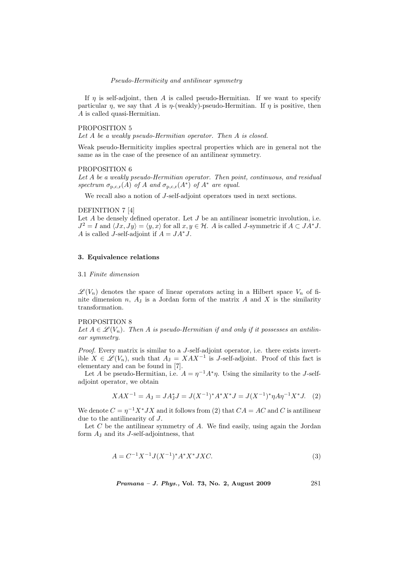### Pseudo-Hermiticity and antilinear symmetry

If  $\eta$  is self-adjoint, then A is called pseudo-Hermitian. If we want to specify particular  $\eta$ , we say that A is  $\eta$ -(weakly)-pseudo-Hermitian. If  $\eta$  is positive, then A is called quasi-Hermitian.

### PROPOSITION 5

Let A be a weakly pseudo-Hermitian operator. Then A is closed.

Weak pseudo-Hermiticity implies spectral properties which are in general not the same as in the case of the presence of an antilinear symmetry.

#### PROPOSITION 6

Let A be a weakly pseudo-Hermitian operator. Then point, continuous, and residual spectrum  $\sigma_{p,c,r}(A)$  of A and  $\sigma_{p,c,r}(A^*)$  of  $A^*$  are equal.

We recall also a notion of J-self-adjoint operators used in next sections.

### DEFINITION 7 [4]

Let  $A$  be densely defined operator. Let  $J$  be an antilinear isometric involution, i.e.  $J^2 = I$  and  $\langle Jx, Jy \rangle = \langle y, x \rangle$  for all  $x, y \in \mathcal{H}$ . A is called J-symmetric if  $A \subset JA^*J$ . A is called J-self-adjoint if  $A = JA^*J$ .

# 3. Equivalence relations

### 3.1 Finite dimension

 $\mathscr{L}(V_n)$  denotes the space of linear operators acting in a Hilbert space  $V_n$  of finite dimension  $n$ ,  $A_J$  is a Jordan form of the matrix  $A$  and  $X$  is the similarity transformation.

### PROPOSITION 8

Let  $A \in \mathscr{L}(V_n)$ . Then A is pseudo-Hermitian if and only if it possesses an antilinear symmetry.

Proof. Every matrix is similar to a J-self-adjoint operator, i.e. there exists invertible  $X \in \mathscr{L}(V_n)$ , such that  $A_J = XAX^{-1}$  is J-self-adjoint. Proof of this fact is elementary and can be found in [7].

Let A be pseudo-Hermitian, i.e.  $A = \eta^{-1} A^* \eta$ . Using the similarity to the J-selfadjoint operator, we obtain

$$
XAX^{-1} = A_J = JA_J^*J = J(X^{-1})^*A^*X^*J = J(X^{-1})^*\eta A\eta^{-1}X^*J.
$$
 (2)

We denote  $C = \eta^{-1} X^* J X$  and it follows from (2) that  $CA = AC$  and C is antilinear due to the antilinearity of J.

Let  $C$  be the antilinear symmetry of  $A$ . We find easily, using again the Jordan form  $A_J$  and its J-self-adjointness, that

$$
A = C^{-1}X^{-1}J(X^{-1})^*A^*X^*JXC.
$$
\n(3)

Pramana – J. Phys., Vol. 73, No. 2, August 2009 281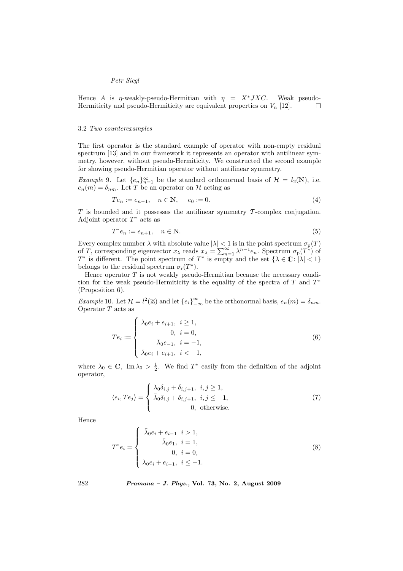Hence A is  $\eta$ -weakly-pseudo-Hermitian with  $\eta = X^*JXC$ . Weak pseudo-Hermiticity and pseudo-Hermiticity are equivalent properties on  $V_n$  [12].  $\Box$ 

### 3.2 Two counterexamples

The first operator is the standard example of operator with non-empty residual spectrum [13] and in our framework it represents an operator with antilinear symmetry, however, without pseudo-Hermiticity. We constructed the second example for showing pseudo-Hermitian operator without antilinear symmetry.

Example 9. Let  $\{e_n\}_{n=1}^{\infty}$  be the standard orthonormal basis of  $\mathcal{H} = l_2(\mathbb{N})$ , i.e.  $e_n(m) = \delta_{nm}$ . Let T be an operator on H acting as

$$
Te_n := e_{n-1}, \quad n \in \mathbb{N}, \quad e_0 := 0.
$$
 (4)

 $T$  is bounded and it possesses the antilinear symmetry  $T$ -complex conjugation. Adjoint operator  $T^*$  acts as

$$
T^*e_n := e_{n+1}, \quad n \in \mathbb{N}.\tag{5}
$$

Every complex number  $\lambda$  with absolute value  $|\lambda| < 1$  is in the point spectrum  $\sigma_{\text{p}}(T)$ Every complex number  $\lambda$  with absolute value  $|\lambda| < 1$  is in the point spectrum  $\sigma_p(1)$  of T, corresponding eigenvector  $x_\lambda$  reads  $x_\lambda = \sum_{n=1}^{\infty} \lambda^{n-1} e_n$ . Spectrum  $\sigma_p(T^*)$  of  $T^*$  is different. The point spectrum of  $T^*$  is empty and the set  $\{\lambda \in \mathbb{C} : |\lambda| < 1\}$ belongs to the residual spectrum  $\sigma_r(T^*)$ .

Hence operator  $T$  is not weakly pseudo-Hermitian because the necessary condition for the weak pseudo-Hermiticity is the equality of the spectra of  $T$  and  $T^*$ (Proposition 6).

*Example* 10. Let  $\mathcal{H} = l^2(\mathbb{Z})$  and let  $\{e_i\}_{-\infty}^{\infty}$  be the orthonormal basis,  $e_n(m) = \delta_{nm}$ . Operator T acts as  $\overline{a}$ 

$$
Te_i := \begin{cases} \lambda_0 e_i + e_{i+1}, & i \ge 1, \\ 0, & i = 0, \\ \bar{\lambda}_0 e_{-1}, & i = -1, \\ \bar{\lambda}_0 e_i + e_{i+1}, & i < -1, \end{cases} \tag{6}
$$

where  $\lambda_0 \in \mathbb{C}$ , Im  $\lambda_0 > \frac{1}{2}$ . We find  $T^*$  easily from the definition of the adjoint operator,

$$
\langle e_i, Te_j \rangle = \begin{cases} \lambda_0 \delta_{i,j} + \delta_{i,j+1}, & i, j \ge 1, \\ \bar{\lambda}_0 \delta_{i,j} + \delta_{i,j+1}, & i, j \le -1, \\ 0, & \text{otherwise.} \end{cases}
$$
(7)

Hence

$$
T^*e_i = \begin{cases} \bar{\lambda}_0 e_i + e_{i-1} & i > 1, \\ \bar{\lambda}_0 e_1, & i = 1, \\ 0, & i = 0, \\ \lambda_0 e_i + e_{i-1}, & i \leq -1. \end{cases} \tag{8}
$$

282 Pramana – J. Phys., Vol. 73, No. 2, August 2009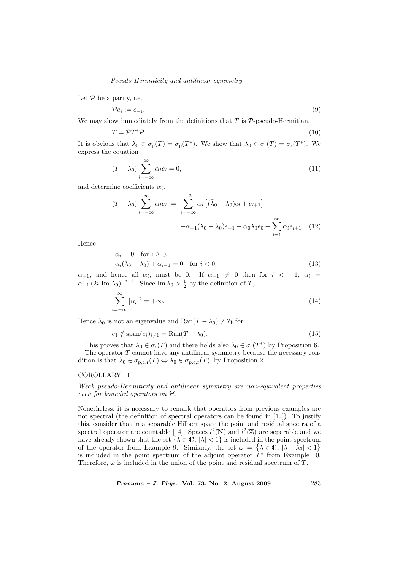### Pseudo-Hermiticity and antilinear symmetry

Let  $P$  be a parity, i.e.

$$
\mathcal{P}e_i := e_{-i}.\tag{9}
$$

We may show immediately from the definitions that  $T$  is  $P$ -pseudo-Hermitian,

$$
T = \mathcal{P}T^*\mathcal{P}.\tag{10}
$$

It is obvious that  $\bar{\lambda}_0 \in \sigma_{\rm p}(T) = \sigma_{\rm p}(T^*)$ . We show that  $\lambda_0 \in \sigma_{\rm r}(T) = \sigma_{\rm r}(T^*)$ . We express the equation

$$
(T - \lambda_0) \sum_{i = -\infty}^{\infty} \alpha_i e_i = 0,
$$
\n(11)

and determine coefficients  $\alpha_i$ .

$$
(T - \lambda_0) \sum_{i = -\infty}^{\infty} \alpha_i e_i = \sum_{i = -\infty}^{-2} \alpha_i \left[ (\bar{\lambda}_0 - \lambda_0) e_i + e_{i+1} \right] + \alpha_{-1} (\bar{\lambda}_0 - \lambda_0) e_{-1} - \alpha_0 \lambda_0 e_0 + \sum_{i = 1}^{\infty} \alpha_i e_{i+1}.
$$
 (12)

Hence

$$
\begin{aligned}\n\alpha_i &= 0 \quad \text{for } i \ge 0, \\
\alpha_i(\bar{\lambda}_0 - \lambda_0) + \alpha_{i-1} &= 0 \quad \text{for } i < 0.\n\end{aligned}\n\tag{13}
$$

 $\alpha_{-1}$ , and hence all  $\alpha_i$ , must be 0. If  $\alpha_{-1} \neq 0$  then for  $i < -1$ ,  $\alpha_i =$  $\alpha_{-1}$  (2*i* Im  $\lambda_0$ )<sup>-*i*-1</sup>. Since Im  $\lambda_0 > \frac{1}{2}$  by the definition of T,

$$
\sum_{i=-\infty}^{\infty} |\alpha_i|^2 = +\infty.
$$
 (14)

Hence  $\lambda_0$  is not an eigenvalue and  $\overline{\text{Ran}(T - \lambda_0)} \neq \mathcal{H}$  for

$$
e_1 \notin \overline{\text{span}(e_i)_{i \neq 1}} = \overline{\text{Ran}(T - \lambda_0)}.
$$
\n(15)

This proves that  $\lambda_0 \in \sigma_r(T)$  and there holds also  $\lambda_0 \in \sigma_r(T^*)$  by Proposition 6. The operator  $T$  cannot have any antilinear symmetry because the necessary condition is that  $\lambda_0 \in \sigma_{p,c,r}(T) \Leftrightarrow \bar{\lambda}_0 \in \sigma_{p,c,r}(T)$ , by Proposition 2.

## COROLLARY 11

Weak pseudo-Hermiticity and antilinear symmetry are non-equivalent properties even for bounded operators on H.

Nonetheless, it is necessary to remark that operators from previous examples are not spectral (the definition of spectral operators can be found in [14]). To justify this, consider that in a separable Hilbert space the point and residual spectra of a spectral operator are countable [14]. Spaces  $l^2(\mathbb{N})$  and  $l^2(\mathbb{Z})$  are separable and we have already shown that the set  $\{\lambda \in \mathbb{C} : |\lambda| < 1\}$  is included in the point spectrum of the operator from Example 9. Similarly, the set  $\omega =$ in the point spectrum<br>  $\left\{\lambda \in \mathbb{C} : |\lambda - \overline{\lambda}_0| < 1 \right\}$ n<br>` is included in the point spectrum of the adjoint operator  $\hat{T}^*$  from Example 10. Therefore,  $\omega$  is included in the union of the point and residual spectrum of T.

Pramana – J. Phys., Vol. 73, No. 2, August 2009 283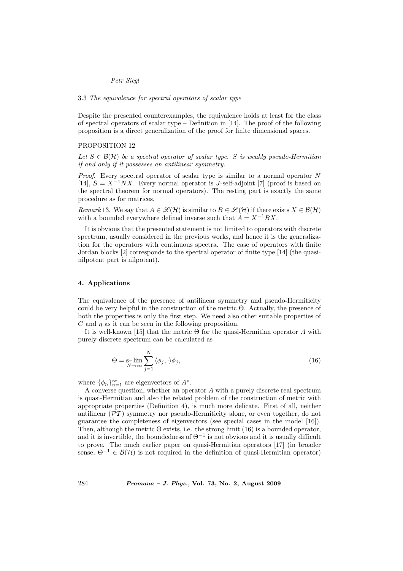## 3.3 The equivalence for spectral operators of scalar type

Despite the presented counterexamples, the equivalence holds at least for the class of spectral operators of scalar type – Definition in [14]. The proof of the following proposition is a direct generalization of the proof for finite dimensional spaces.

# PROPOSITION 12

Let  $S \in \mathcal{B}(\mathcal{H})$  be a spectral operator of scalar type. S is weakly pseudo-Hermitian if and only if it possesses an antilinear symmetry.

*Proof.* Every spectral operator of scalar type is similar to a normal operator  $N$ [14],  $S = X^{-1}NX$ . Every normal operator is J-self-adjoint [7] (proof is based on the spectral theorem for normal operators). The resting part is exactly the same procedure as for matrices.

Remark 13. We say that  $A \in \mathcal{L}(\mathcal{H})$  is similar to  $B \in \mathcal{L}(\mathcal{H})$  if there exists  $X \in \mathcal{B}(\mathcal{H})$ with a bounded everywhere defined inverse such that  $A = X^{-1}BX$ .

It is obvious that the presented statement is not limited to operators with discrete spectrum, usually considered in the previous works, and hence it is the generalization for the operators with continuous spectra. The case of operators with finite Jordan blocks [2] corresponds to the spectral operator of finite type [14] (the quasinilpotent part is nilpotent).

### 4. Applications

The equivalence of the presence of antilinear symmetry and pseudo-Hermiticity could be very helpful in the construction of the metric  $\Theta$ . Actually, the presence of both the properties is only the first step. We need also other suitable properties of  $C$  and  $n$  as it can be seen in the following proposition.

It is well-known [15] that the metric  $\Theta$  for the quasi-Hermitian operator A with purely discrete spectrum can be calculated as

$$
\Theta = \lim_{N \to \infty} \sum_{j=1}^{N} \langle \phi_j, \cdot \rangle \phi_j,
$$
\n(16)

where  $\{\phi_n\}_{n=1}^{\infty}$  are eigenvectors of  $A^*$ .

A converse question, whether an operator A with a purely discrete real spectrum is quasi-Hermitian and also the related problem of the construction of metric with appropriate properties (Definition 4), is much more delicate. First of all, neither antilinear  $(\mathcal{PT})$  symmetry nor pseudo-Hermiticity alone, or even together, do not guarantee the completeness of eigenvectors (see special cases in the model [16]). Then, although the metric  $\Theta$  exists, i.e. the strong limit (16) is a bounded operator, and it is invertible, the boundedness of  $\Theta^{-1}$  is not obvious and it is usually difficult to prove. The much earlier paper on quasi-Hermitian operators [17] (in broader sense,  $\Theta^{-1} \in \mathcal{B}(\mathcal{H})$  is not required in the definition of quasi-Hermitian operator)

284 Pramana – J. Phys., Vol. 73, No. 2, August 2009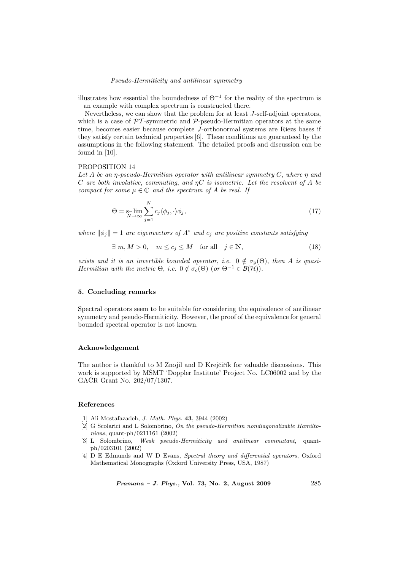### Pseudo-Hermiticity and antilinear symmetry

illustrates how essential the boundedness of  $\Theta^{-1}$  for the reality of the spectrum is – an example with complex spectrum is constructed there.

Nevertheless, we can show that the problem for at least J-self-adjoint operators, which is a case of  $\mathcal{PT}$ -symmetric and  $\mathcal{P}$ -pseudo-Hermitian operators at the same time, becomes easier because complete J-orthonormal systems are Riezs bases if they satisfy certain technical properties [6]. These conditions are guaranteed by the assumptions in the following statement. The detailed proofs and discussion can be found in [10].

## PROPOSITION 14

Let A be an  $\eta$ -pseudo-Hermitian operator with antilinear symmetry C, where  $\eta$  and C are both involutive, commuting, and  $nC$  is isometric. Let the resolvent of A be compact for some  $\mu \in \mathbb{C}$  and the spectrum of A be real. If

$$
\Theta = \sum_{N \to \infty}^{N} c_j \langle \phi_j, \cdot \rangle \phi_j, \tag{17}
$$

where  $\|\phi_j\| = 1$  are eigenvectors of  $A^*$  and  $c_j$  are positive constants satisfying

$$
\exists m, M > 0, \quad m \le c_j \le M \quad \text{for all} \quad j \in \mathbb{N}, \tag{18}
$$

exists and it is an invertible bounded operator, i.e.  $0 \notin \sigma_p(\Theta)$ , then A is quasi-Hermitian with the metric  $\Theta$ , i.e.  $0 \notin \sigma_c(\Theta)$  (or  $\Theta^{-1} \in \mathcal{B}(\mathcal{H})$ ).

### 5. Concluding remarks

Spectral operators seem to be suitable for considering the equivalence of antilinear symmetry and pseudo-Hermiticity. However, the proof of the equivalence for general bounded spectral operator is not known.

### Acknowledgement

The author is thankful to M Znojil and D Krejčiřík for valuable discussions. This work is supported by MSMT 'Doppler Institute' Project No. LC06002 and by the GACR Grant No.  $202/07/1307$ .

# References

- [1] Ali Mostafazadeh, J. Math. Phys. 43, 3944 (2002)
- [2] G Scolarici and L Solombrino, On the pseudo-Hermitian nondiagonalizable Hamiltonians, quant-ph/0211161 (2002)
- [3] L Solombrino, Weak pseudo-Hermiticity and antilinear commutant, quantph/0203101 (2002)
- [4] D E Edmunds and W D Evans, Spectral theory and differential operators, Oxford Mathematical Monographs (Oxford University Press, USA, 1987)

*Pramana – J. Phys.*, Vol. 73, No. 2, August 2009  $285$